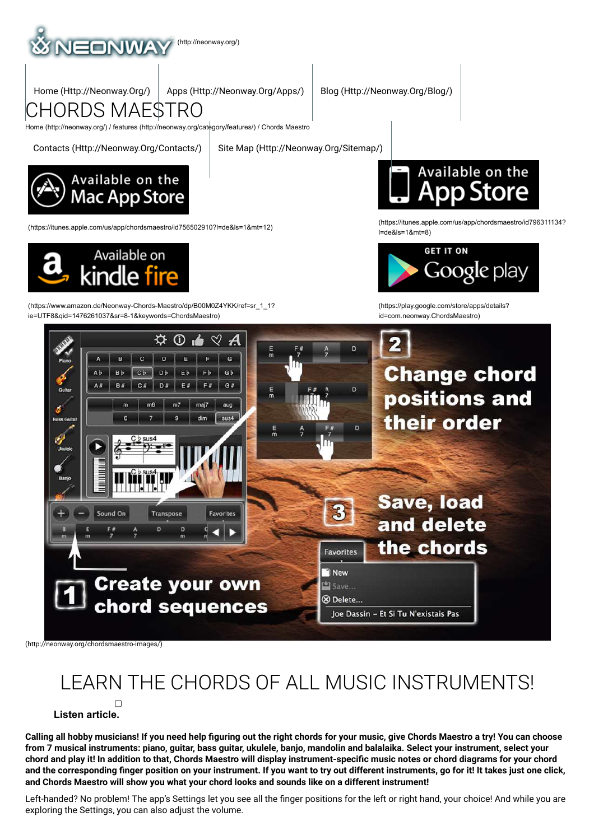

Home (Http://Neonway.Org/) Apps (Http://Neonway.Org/Apps/) Blog (Http://Neonway.Org/Blog/)

CHORDS MAESTRO

Home (http://neonway.org/) / features (http://neonway.org/category/features/) / Chords Maestro

Contacts (Http://Neonway.Org/Contacts/) Site Map (Http://Neonway.Org/Sitemap/)



Available on

(https://www.amazon.de/Neonway-Chords-Maestro/dp/B00M0Z4YKK/ref=sr\_1\_1? ie=UTF8&qid=1476261037&sr=81&keywords=ChordsMaestro)



(https://itunes.apple.com/us/app/chordsmaestro/id756502910?l=de&ls=1&mt=12) (https://itunes.apple.com/us/app/chordsmaestro/id796311134? l=de&ls=1&mt=8)



(https://play.google.com/store/apps/details? id=com.neonway.ChordsMaestro)



(http://neonway.org/chordsmaestro-images/)

# LEARN THE CHORDS OF ALL MUSIC INSTRUMENTS!

**Listen article.**

Calling all hobby musicians! If you need help figuring out the right chords for your music, give Chords Maestro a try! You can choose from 7 musical instruments: piano, guitar, bass guitar, ukulele, banjo, mandolin and balalaika. Select your instrument, select your chord and play it! In addition to that. Chords Maestro will display instrument-specific music notes or chord diagrams for your chord and the corresponding finger position on your instrument. If you want to try out different instruments, go for it! It takes just one click, **and Chords Maestro will show you what your chord looks and sounds like on a different instrument!**

Left-handed? No problem! The app's Settings let you see all the finger positions for the left or right hand, your choice! And while you are exploring the Settings, you can also adjust the volume.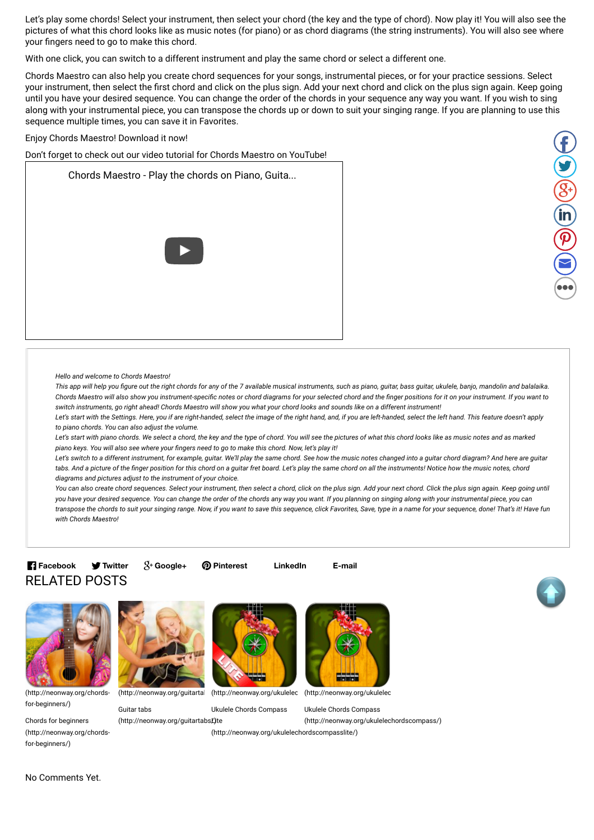Let's play some chords! Select your instrument, then select your chord (the key and the type of chord). Now play it! You will also see the pictures of what this chord looks like as music notes (for piano) or as chord diagrams (the string instruments). You will also see where your fingers need to go to make this chord.

With one click, you can switch to a different instrument and play the same chord or select a different one.

Chords Maestro can also help you create chord sequences for your songs, instrumental pieces, or for your practice sessions. Select your instrument, then select the first chord and click on the plus sign. Add your next chord and click on the plus sign again. Keep going until you have your desired sequence. You can change the order of the chords in your sequence any way you want. If you wish to sing along with your instrumental piece, you can transpose the chords up or down to suit your singing range. If you are planning to use this sequence multiple times, you can save it in Favorites.

Enjoy Chords Maestro! Download it now!

Don't forget to check out our video tutorial for Chords Maestro on YouTube!

Chords Maestro - Play the chords on Piano, Guita...





*Hello and welcome to Chords Maestro!*

This app will help you figure out the right chords for any of the 7 available musical instruments, such as piano, guitar, bass guitar, ukulele, banjo, mandolin and balalaika. Chords Maestro will also show you instrument-specific notes or chord diagrams for your selected chord and the finger positions for it on your instrument. If you want to switch instruments, go right ahead! Chords Maestro will show you what your chord looks and sounds like on a different instrument!

Let's start with the Settings. Here, you if are right-handed, select the image of the right hand, and, if you are left-handed, select the left hand. This feature doesn't apply *to piano chords. You can also adjust the volume.*

Let's start with piano chords. We select a chord, the key and the type of chord. You will see the pictures of what this chord looks like as music notes and as marked piano keys. You will also see where your fingers need to go to make this chord. Now, let's play it!

Let's switch to a different instrument, for example, guitar. We'll play the same chord. See how the music notes changed into a guitar chord diagram? And here are guitar tabs. And a picture of the finger position for this chord on a quitar fret board. Let's play the same chord on all the instruments! Notice how the music notes, chord *diagrams and pictures adjust to the instrument of your choice.*

You can also create chord sequences. Select your instrument, then select a chord, click on the plus sign. Add your next chord. Click the plus sign again. Keep going until you have your desired sequence. You can change the order of the chords any way you want. If you planning on singing along with your instrumental piece, you can transpose the chords to suit your singing range. Now, if you want to save this sequence, click Favorites, Save, type in a name for your sequence, done! That's it! Have fun *with Chords Maestro!*

### RELATED POSTS **Facebook V** Twitter

**Twitter Google+ Pinterest LinkedIn E-mail**





(http://neonway.org/chordsfor-beginners/)

Chords for beginners (http://neonway.org/chordsfor-beginners/)



Guitar tabs



Ukulele Chords Compass

(http://neonway.org/guitartabsĽ)te

(http://neonway.org/ukulelechordscompasslite/)



Ukulele Chords Compass (http://neonway.org/ukulelechordscompass/)

No Comments Yet.